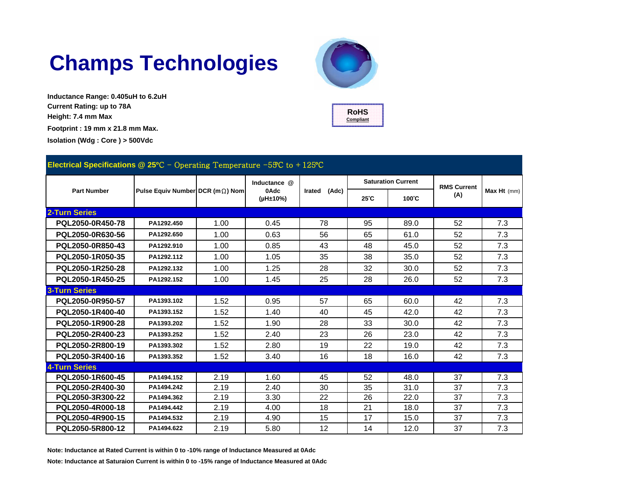# **Champs Technologies**

**Inductance Range: 0.405uH to 6.2uH Current Rating: up to 78A Height: 7.4 mm Max Footprint : 19 mm x 21.8 mm Max. Isolation (Wdg : Core ) > 500Vdc**





| Electrical Specifications @ 25°C - Operating Temperature $-59C$ to $+125C$ |                                  |      |                                  |                 |                           |      |                    |             |  |  |
|----------------------------------------------------------------------------|----------------------------------|------|----------------------------------|-----------------|---------------------------|------|--------------------|-------------|--|--|
| <b>Part Number</b>                                                         |                                  |      | Inductance @<br>0Adc<br>(µH±10%) | (Adc)<br>Irated | <b>Saturation Current</b> |      | <b>RMS Current</b> |             |  |  |
|                                                                            | Pulse Equiv Number DCR (m 2) Nom |      |                                  |                 | 25 C                      | 100C | (A)                | Max Ht (mm) |  |  |
| 2-Turn Series                                                              |                                  |      |                                  |                 |                           |      |                    |             |  |  |
| PQL2050-0R450-78                                                           | PA1292.450                       | 1.00 | 0.45                             | 78              | 95                        | 89.0 | 52                 | 7.3         |  |  |
| PQL2050-0R630-56                                                           | PA1292.650                       | 1.00 | 0.63                             | 56              | 65                        | 61.0 | 52                 | 7.3         |  |  |
| PQL2050-0R850-43                                                           | PA1292.910                       | 1.00 | 0.85                             | 43              | 48                        | 45.0 | 52                 | 7.3         |  |  |
| PQL2050-1R050-35                                                           | PA1292.112                       | 1.00 | 1.05                             | 35              | 38                        | 35.0 | 52                 | 7.3         |  |  |
| PQL2050-1R250-28                                                           | PA1292.132                       | 1.00 | 1.25                             | 28              | 32                        | 30.0 | 52                 | 7.3         |  |  |
| PQL2050-1R450-25                                                           | PA1292.152                       | 1.00 | 1.45                             | 25              | 28                        | 26.0 | 52                 | 7.3         |  |  |
| <b>3-Turn Series</b>                                                       |                                  |      |                                  |                 |                           |      |                    |             |  |  |
| PQL2050-0R950-57                                                           | PA1393.102                       | 1.52 | 0.95                             | 57              | 65                        | 60.0 | 42                 | 7.3         |  |  |
| PQL2050-1R400-40                                                           | PA1393.152                       | 1.52 | 1.40                             | 40              | 45                        | 42.0 | 42                 | 7.3         |  |  |
| PQL2050-1R900-28                                                           | PA1393.202                       | 1.52 | 1.90                             | 28              | 33                        | 30.0 | 42                 | 7.3         |  |  |
| PQL2050-2R400-23                                                           | PA1393.252                       | 1.52 | 2.40                             | 23              | 26                        | 23.0 | 42                 | 7.3         |  |  |
| PQL2050-2R800-19                                                           | PA1393.302                       | 1.52 | 2.80                             | 19              | 22                        | 19.0 | 42                 | 7.3         |  |  |
| PQL2050-3R400-16                                                           | PA1393.352                       | 1.52 | 3.40                             | 16              | 18                        | 16.0 | 42                 | 7.3         |  |  |
| <b>4-Turn Series</b>                                                       |                                  |      |                                  |                 |                           |      |                    |             |  |  |
| PQL2050-1R600-45                                                           | PA1494.152                       | 2.19 | 1.60                             | 45              | 52                        | 48.0 | 37                 | 7.3         |  |  |
| PQL2050-2R400-30                                                           | PA1494.242                       | 2.19 | 2.40                             | 30              | 35                        | 31.0 | 37                 | 7.3         |  |  |
| PQL2050-3R300-22                                                           | PA1494.362                       | 2.19 | 3.30                             | 22              | 26                        | 22.0 | 37                 | 7.3         |  |  |
| PQL2050-4R000-18                                                           | PA1494.442                       | 2.19 | 4.00                             | 18              | 21                        | 18.0 | 37                 | 7.3         |  |  |
| PQL2050-4R900-15                                                           | PA1494.532                       | 2.19 | 4.90                             | 15              | 17                        | 15.0 | 37                 | 7.3         |  |  |
| PQL2050-5R800-12                                                           | PA1494.622                       | 2.19 | 5.80                             | 12              | 14                        | 12.0 | 37                 | 7.3         |  |  |

**Note: Inductance at Rated Current is within 0 to -10% range of Inductance Measured at 0Adc**

**Note: Inductance at Saturaion Current is within 0 to -15% range of Inductance Measured at 0Adc**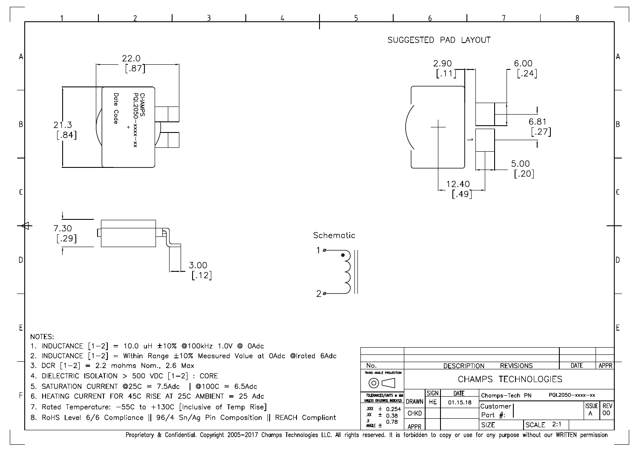

Proprietary & Confidential. Copyright 2005-2017 Champs Technologies LLC. All rights reserved. It is forbidden to copy or use for any purpose without our WRITTEN permission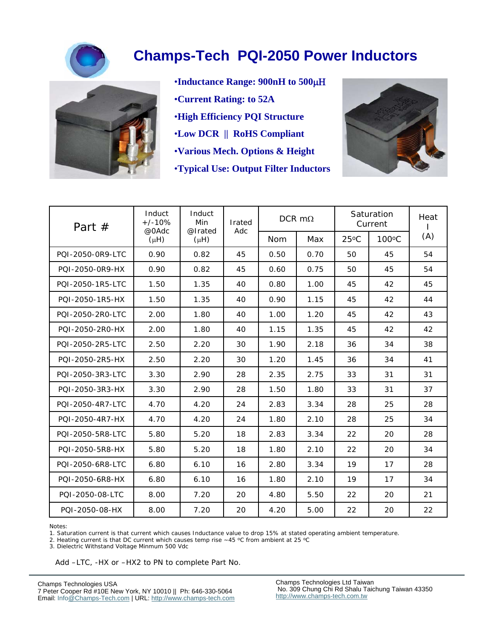



- •**Inductance Range: 900nH to 500** •**Current Rating: to 52A** •**High Efficiency PQI Structure** •**Low DCR || RoHS Compliant**
- •**Various Mech. Options & Height**
- •**Typical Use: Output Filter Inductors**



| Part $#$         | Induct<br>$+/-10%$ | Induct<br>Min<br>@0Adc<br>@Irated<br>$(\mu H)$<br>$(\mu H)$ | Irated<br>Adc | DCR $m\Omega$ |      | Saturation<br>Current |                 | Heat |
|------------------|--------------------|-------------------------------------------------------------|---------------|---------------|------|-----------------------|-----------------|------|
|                  |                    |                                                             |               | <b>Nom</b>    | Max  | $25^{\circ}$ C        | $100^{\circ}$ C | (A)  |
| POI-2050-0R9-LTC | 0.90               | 0.82                                                        | 45            | 0.50          | 0.70 | 50                    | 45              | 54   |
| POI-2050-0R9-HX  | 0.90               | 0.82                                                        | 45            | 0.60          | 0.75 | 50                    | 45              | 54   |
| PQI-2050-1R5-LTC | 1.50               | 1.35                                                        | 40            | 0.80          | 1.00 | 45                    | 42              | 45   |
| POI-2050-1R5-HX  | 1.50               | 1.35                                                        | 40            | 0.90          | 1.15 | 45                    | 42              | 44   |
| POI-2050-2RO-LTC | 2.00               | 1.80                                                        | 40            | 1.00          | 1.20 | 45                    | 42              | 43   |
| POI-2050-2R0-HX  | 2.00               | 1.80                                                        | 40            | 1.15          | 1.35 | 45                    | 42              | 42   |
| PQI-2050-2R5-LTC | 2.50               | 2.20                                                        | 30            | 1.90          | 2.18 | 36                    | 34              | 38   |
| PQI-2050-2R5-HX  | 2.50               | 2.20                                                        | 30            | 1.20          | 1.45 | 36                    | 34              | 41   |
| PQI-2050-3R3-LTC | 3.30               | 2.90                                                        | 28            | 2.35          | 2.75 | 33                    | 31              | 31   |
| PQI-2050-3R3-HX  | 3.30               | 2.90                                                        | 28            | 1.50          | 1.80 | 33                    | 31              | 37   |
| PQI-2050-4R7-LTC | 4.70               | 4.20                                                        | 24            | 2.83          | 3.34 | 28                    | 25              | 28   |
| PQI-2050-4R7-HX  | 4.70               | 4.20                                                        | 24            | 1.80          | 2.10 | 28                    | 25              | 34   |
| POI-2050-5R8-LTC | 5.80               | 5.20                                                        | 18            | 2.83          | 3.34 | 22                    | 20              | 28   |
| PQI-2050-5R8-HX  | 5.80               | 5.20                                                        | 18            | 1.80          | 2.10 | 22                    | 20              | 34   |
| POI-2050-6R8-LTC | 6.80               | 6.10                                                        | 16            | 2.80          | 3.34 | 19                    | 17              | 28   |
| POI-2050-6R8-HX  | 6.80               | 6.10                                                        | 16            | 1.80          | 2.10 | 19                    | 17              | 34   |
| PQI-2050-08-LTC  | 8.00               | 7.20                                                        | 20            | 4.80          | 5.50 | 22                    | 20              | 21   |
| PQI-2050-08-HX   | 8.00               | 7.20                                                        | 20            | 4.20          | 5.00 | 22                    | 20              | 22   |

Notes:

1. Saturation current is that current which causes Inductance value to drop 15% at stated operating ambient temperature.

2. Heating current is that DC current which causes temp rise ~45 °C from ambient at 25 °C

3. Dielectric Withstand Voltage Minmum 500 Vdc

Add –LTC, -HX or –HX2 to PN to complete Part No.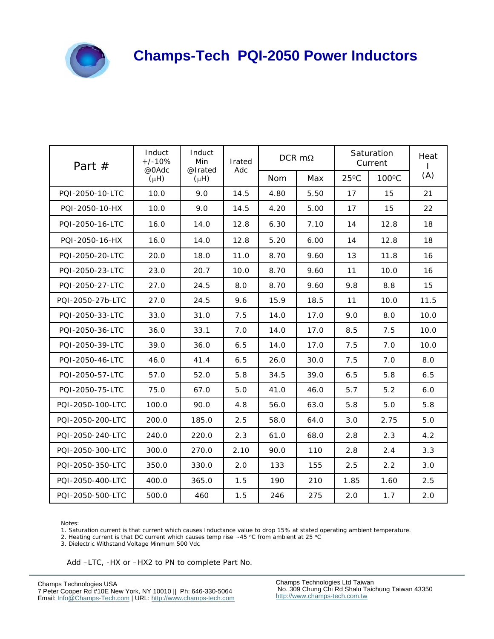

| Part $#$         | Induct<br>$+/-10%$<br>@0Adc | Induct<br>Min<br>@Irated | Irated<br>Adc | DCR $m\Omega$ |      | Saturation<br>Current |       | Heat<br>L |
|------------------|-----------------------------|--------------------------|---------------|---------------|------|-----------------------|-------|-----------|
|                  | $(\mu H)$                   | $(\mu H)$                |               | <b>Nom</b>    | Max  | $25^{\circ}$ C        | 100°C | (A)       |
| POI-2050-10-LTC  | 10.0                        | 9.0                      | 14.5          | 4.80          | 5.50 | 17                    | 15    | 21        |
| PQI-2050-10-HX   | 10.0                        | 9.0                      | 14.5          | 4.20          | 5.00 | 17                    | 15    | 22        |
| PQI-2050-16-LTC  | 16.0                        | 14.0                     | 12.8          | 6.30          | 7.10 | 14                    | 12.8  | 18        |
| POI-2050-16-HX   | 16.0                        | 14.0                     | 12.8          | 5.20          | 6.00 | 14                    | 12.8  | 18        |
| PQI-2050-20-LTC  | 20.0                        | 18.0                     | 11.0          | 8.70          | 9.60 | 13                    | 11.8  | 16        |
| POI-2050-23-LTC  | 23.0                        | 20.7                     | 10.0          | 8.70          | 9.60 | 11                    | 10.0  | 16        |
| PQI-2050-27-LTC  | 27.0                        | 24.5                     | 8.0           | 8.70          | 9.60 | 9.8                   | 8.8   | 15        |
| PQI-2050-27b-LTC | 27.0                        | 24.5                     | 9.6           | 15.9          | 18.5 | 11                    | 10.0  | 11.5      |
| PQI-2050-33-LTC  | 33.0                        | 31.0                     | 7.5           | 14.0          | 17.0 | 9.0                   | 8.0   | 10.0      |
| PQI-2050-36-LTC  | 36.0                        | 33.1                     | 7.0           | 14.0          | 17.0 | 8.5                   | 7.5   | 10.0      |
| PQI-2050-39-LTC  | 39.0                        | 36.0                     | 6.5           | 14.0          | 17.0 | 7.5                   | 7.0   | 10.0      |
| PQI-2050-46-LTC  | 46.0                        | 41.4                     | 6.5           | 26.0          | 30.0 | 7.5                   | 7.0   | 8.0       |
| PQI-2050-57-LTC  | 57.0                        | 52.0                     | 5.8           | 34.5          | 39.0 | 6.5                   | 5.8   | 6.5       |
| PQI-2050-75-LTC  | 75.0                        | 67.0                     | 5.0           | 41.0          | 46.0 | 5.7                   | 5.2   | 6.0       |
| PQI-2050-100-LTC | 100.0                       | 90.0                     | 4.8           | 56.0          | 63.0 | 5.8                   | 5.0   | 5.8       |
| PQI-2050-200-LTC | 200.0                       | 185.0                    | 2.5           | 58.0          | 64.0 | 3.0                   | 2.75  | 5.0       |
| PQI-2050-240-LTC | 240.0                       | 220.0                    | 2.3           | 61.0          | 68.0 | 2.8                   | 2.3   | 4.2       |
| PQI-2050-300-LTC | 300.0                       | 270.0                    | 2.10          | 90.0          | 110  | 2.8                   | 2.4   | 3.3       |
| PQI-2050-350-LTC | 350.0                       | 330.0                    | 2.0           | 133           | 155  | 2.5                   | 2.2   | 3.0       |
| PQI-2050-400-LTC | 400.0                       | 365.0                    | 1.5           | 190           | 210  | 1.85                  | 1.60  | 2.5       |
| PQI-2050-500-LTC | 500.0                       | 460                      | 1.5           | 246           | 275  | 2.0                   | 1.7   | 2.0       |

Notes:

1. Saturation current is that current which causes Inductance value to drop 15% at stated operating ambient temperature.

2. Heating current is that DC current which causes temp rise  $\sim$  45 °C from ambient at 25 °C

3. Dielectric Withstand Voltage Minmum 500 Vdc

Add –LTC, -HX or –HX2 to PN to complete Part No.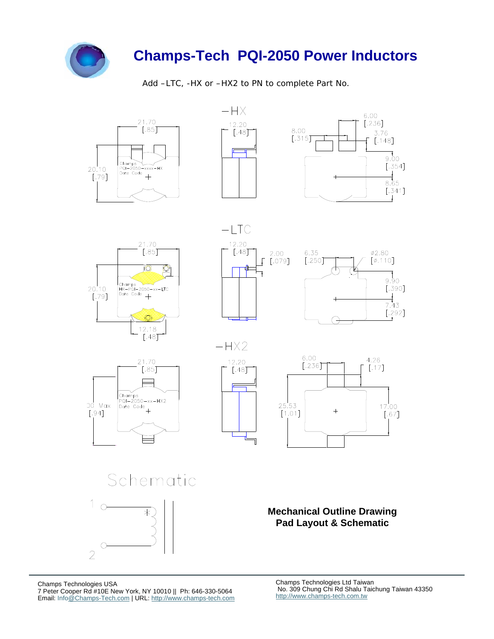

Add –LTC, -HX or –HX2 to PN to complete Part No.

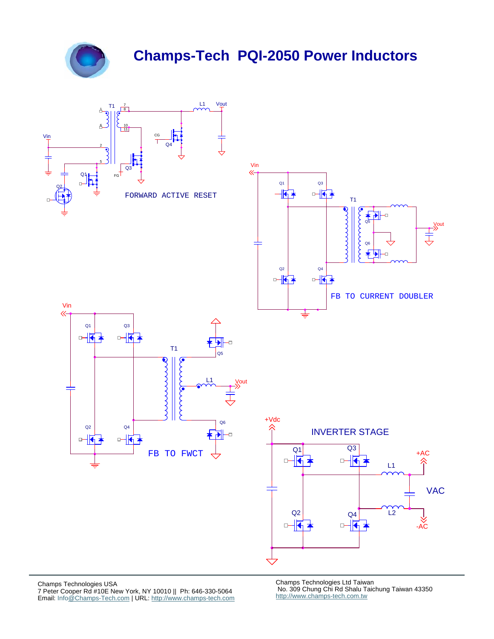



Champs Technologies Ltd Taiwan No. 309 Chung Chi Rd Shalu Taichung Taiwan 43350 http://www.champs-tech.com.tw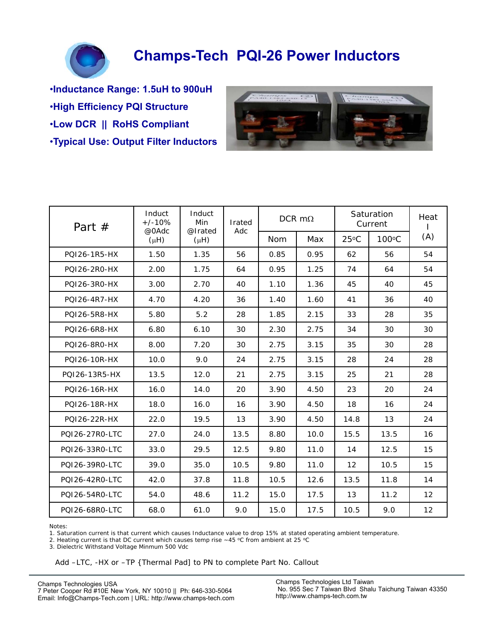

•**Inductance Range: 1.5uH to 900uH** •**High Efficiency PQI Structure** •**Low DCR || RoHS Compliant** •**Typical Use: Output Filter Inductors**



| Part $#$       | Induct<br>$+/-10%$<br>@0Adc | Induct<br>Min<br>@Irated<br>$(\mu H)$ | Irated<br>Adc | DCR $m\Omega$ |      | Saturation<br>Current |       | Heat              |
|----------------|-----------------------------|---------------------------------------|---------------|---------------|------|-----------------------|-------|-------------------|
|                | $(\mu H)$                   |                                       |               | <b>Nom</b>    | Max  | $25^{\circ}$ C        | 100°C | (A)               |
| POI26-1R5-HX   | 1.50                        | 1.35                                  | 56            | 0.85          | 0.95 | 62                    | 56    | 54                |
| PQI26-2R0-HX   | 2.00                        | 1.75                                  | 64            | 0.95          | 1.25 | 74                    | 64    | 54                |
| PQI26-3R0-HX   | 3.00                        | 2.70                                  | 40            | 1.10          | 1.36 | 45                    | 40    | 45                |
| POI26-4R7-HX   | 4.70                        | 4.20                                  | 36            | 1.40          | 1.60 | 41                    | 36    | 40                |
| POI26-5R8-HX   | 5.80                        | 5.2                                   | 28            | 1.85          | 2.15 | 33                    | 28    | 35                |
| PQI26-6R8-HX   | 6.80                        | 6.10                                  | 30            | 2.30          | 2.75 | 34                    | 30    | 30                |
| PQI26-8R0-HX   | 8.00                        | 7.20                                  | 30            | 2.75          | 3.15 | 35                    | 30    | 28                |
| POI26-10R-HX   | 10.0                        | 9.0                                   | 24            | 2.75          | 3.15 | 28                    | 24    | 28                |
| POI26-13R5-HX  | 13.5                        | 12.0                                  | 21            | 2.75          | 3.15 | 25                    | 21    | 28                |
| POI26-16R-HX   | 16.0                        | 14.0                                  | 20            | 3.90          | 4.50 | 23                    | 20    | 24                |
| PQI26-18R-HX   | 18.0                        | 16.0                                  | 16            | 3.90          | 4.50 | 18                    | 16    | 24                |
| POI26-22R-HX   | 22.0                        | 19.5                                  | 13            | 3.90          | 4.50 | 14.8                  | 13    | 24                |
| PQ126-27R0-LTC | 27.0                        | 24.0                                  | 13.5          | 8.80          | 10.0 | 15.5                  | 13.5  | 16                |
| POI26-33RO-LTC | 33.0                        | 29.5                                  | 12.5          | 9.80          | 11.0 | 14                    | 12.5  | 15                |
| POI26-39R0-LTC | 39.0                        | 35.0                                  | 10.5          | 9.80          | 11.0 | 12                    | 10.5  | 15                |
| PQ126-42R0-LTC | 42.0                        | 37.8                                  | 11.8          | 10.5          | 12.6 | 13.5                  | 11.8  | 14                |
| POI26-54R0-LTC | 54.0                        | 48.6                                  | 11.2          | 15.0          | 17.5 | 13                    | 11.2  | $12 \overline{ }$ |
| POI26-68RO-LTC | 68.0                        | 61.0                                  | 9.0           | 15.0          | 17.5 | 10.5                  | 9.0   | 12                |

Notes:

1. Saturation current is that current which causes Inductance value to drop 15% at stated operating ambient temperature.

2. Heating current is that DC current which causes temp rise  $\sim$  45 °C from ambient at 25 °C

3. Dielectric Withstand Voltage Minmum 500 Vdc

Add –LTC, -HX or –TP {Thermal Pad] to PN to complete Part No. Callout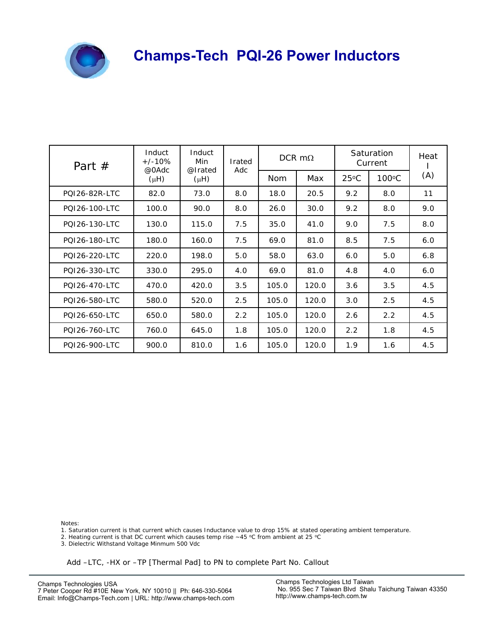

| Part $#$      | Induct<br>$+/-10%$<br>@0Adc | Induct<br>Min<br>@Irated | Irated<br>Adc | DCR $m\Omega$ |       | Saturation<br>Current |                 | Heat |
|---------------|-----------------------------|--------------------------|---------------|---------------|-------|-----------------------|-----------------|------|
|               | $(\mu H)$                   | $(\mu H)$                |               | <b>Nom</b>    | Max   | $25^{\circ}$ C        | $100^{\circ}$ C | (A)  |
| POI26-82R-LTC | 82.0                        | 73.0                     | 8.0           | 18.0          | 20.5  | 9.2                   | 8.0             | 11   |
| POI26-100-LTC | 100.0                       | 90.0                     | 8.0           | 26.0          | 30.0  | 9.2                   | 8.0             | 9.0  |
| PQI26-130-LTC | 130.0                       | 115.0                    | 7.5           | 35.0          | 41.0  | 9.0                   | 7.5             | 8.0  |
| POI26-180-LTC | 180.0                       | 160.0                    | 7.5           | 69.0          | 81.0  | 8.5                   | 7.5             | 6.0  |
| POI26-220-LTC | 220.0                       | 198.0                    | 5.0           | 58.0          | 63.0  | 6.0                   | 5.0             | 6.8  |
| POI26-330-LTC | 330.0                       | 295.0                    | 4.0           | 69.0          | 81.0  | 4.8                   | 4.0             | 6.0  |
| PQI26-470-LTC | 470.0                       | 420.0                    | 3.5           | 105.0         | 120.0 | 3.6                   | 3.5             | 4.5  |
| POI26-580-LTC | 580.0                       | 520.0                    | 2.5           | 105.0         | 120.0 | 3.0                   | 2.5             | 4.5  |
| POI26-650-LTC | 650.0                       | 580.0                    | 2.2           | 105.0         | 120.0 | 2.6                   | 2.2             | 4.5  |
| PQI26-760-LTC | 760.0                       | 645.0                    | 1.8           | 105.0         | 120.0 | 2.2                   | 1.8             | 4.5  |
| POI26-900-LTC | 900.0                       | 810.0                    | 1.6           | 105.0         | 120.0 | 1.9                   | 1.6             | 4.5  |

Notes:

1. Saturation current is that current which causes Inductance value to drop 15% at stated operating ambient temperature.

2. Heating current is that DC current which causes temp rise  $\sim$  45 °C from ambient at 25 °C

3. Dielectric Withstand Voltage Minmum 500 Vdc

Add –LTC, -HX or –TP [Thermal Pad] to PN to complete Part No. Callout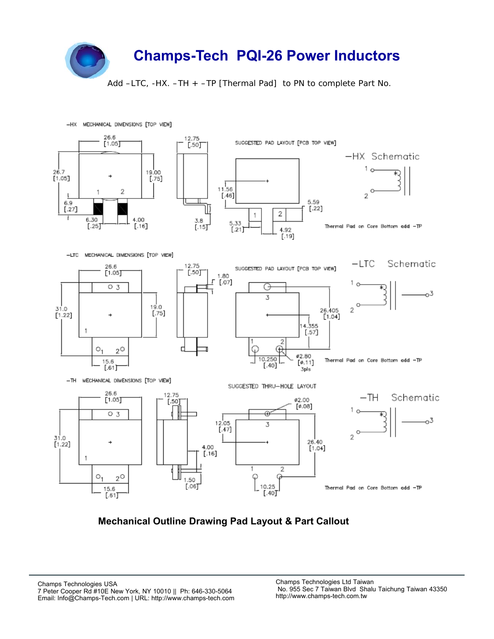

Add –LTC, -HX. –TH + –TP [Thermal Pad] to PN to complete Part No.



#### **Mechanical Outline Drawing Pad Layout & Part Callout**